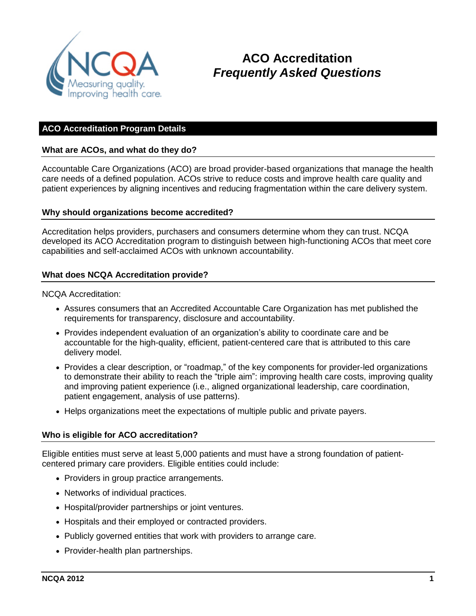

# **ACO Accreditation** *Frequently Asked Questions*

# **ACO Accreditation Program Details**

### **What are ACOs, and what do they do?**

Accountable Care Organizations (ACO) are broad provider-based organizations that manage the health care needs of a defined population. ACOs strive to reduce costs and improve health care quality and patient experiences by aligning incentives and reducing fragmentation within the care delivery system.

#### **Why should organizations become accredited?**

Accreditation helps providers, purchasers and consumers determine whom they can trust. NCQA developed its ACO Accreditation program to distinguish between high-functioning ACOs that meet core capabilities and self-acclaimed ACOs with unknown accountability.

#### **What does NCQA Accreditation provide?**

NCQA Accreditation:

- Assures consumers that an Accredited Accountable Care Organization has met published the requirements for transparency, disclosure and accountability.
- Provides independent evaluation of an organization's ability to coordinate care and be accountable for the high-quality, efficient, patient-centered care that is attributed to this care delivery model.
- Provides a clear description, or "roadmap," of the key components for provider-led organizations to demonstrate their ability to reach the "triple aim": improving health care costs, improving quality and improving patient experience (i.e., aligned organizational leadership, care coordination, patient engagement, analysis of use patterns).
- Helps organizations meet the expectations of multiple public and private payers.

#### **Who is eligible for ACO accreditation?**

Eligible entities must serve at least 5,000 patients and must have a strong foundation of patientcentered primary care providers. Eligible entities could include:

- Providers in group practice arrangements.
- Networks of individual practices.
- Hospital/provider partnerships or joint ventures.
- Hospitals and their employed or contracted providers.
- Publicly governed entities that work with providers to arrange care.
- Provider-health plan partnerships.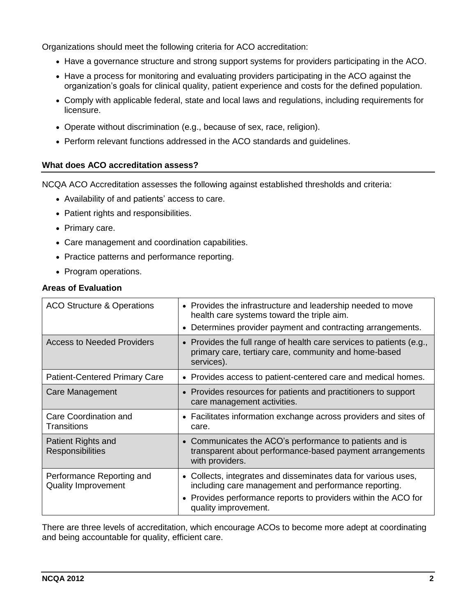Organizations should meet the following criteria for ACO accreditation:

- Have a governance structure and strong support systems for providers participating in the ACO.
- Have a process for monitoring and evaluating providers participating in the ACO against the organization's goals for clinical quality, patient experience and costs for the defined population.
- Comply with applicable federal, state and local laws and regulations, including requirements for licensure.
- Operate without discrimination (e.g., because of sex, race, religion).
- Perform relevant functions addressed in the ACO standards and guidelines.

### **What does ACO accreditation assess?**

NCQA ACO Accreditation assesses the following against established thresholds and criteria:

- Availability of and patients' access to care.
- Patient rights and responsibilities.
- Primary care.
- Care management and coordination capabilities.
- Practice patterns and performance reporting.
- Program operations.

### **Areas of Evaluation**

| <b>ACO Structure &amp; Operations</b>                   | • Provides the infrastructure and leadership needed to move<br>health care systems toward the triple aim.<br>Determines provider payment and contracting arrangements.                                           |
|---------------------------------------------------------|------------------------------------------------------------------------------------------------------------------------------------------------------------------------------------------------------------------|
| <b>Access to Needed Providers</b>                       | • Provides the full range of health care services to patients (e.g.,<br>primary care, tertiary care, community and home-based<br>services).                                                                      |
| <b>Patient-Centered Primary Care</b>                    | • Provides access to patient-centered care and medical homes.                                                                                                                                                    |
| Care Management                                         | • Provides resources for patients and practitioners to support<br>care management activities.                                                                                                                    |
| Care Coordination and<br>Transitions                    | • Facilitates information exchange across providers and sites of<br>care.                                                                                                                                        |
| Patient Rights and<br><b>Responsibilities</b>           | • Communicates the ACO's performance to patients and is<br>transparent about performance-based payment arrangements<br>with providers.                                                                           |
| Performance Reporting and<br><b>Quality Improvement</b> | • Collects, integrates and disseminates data for various uses,<br>including care management and performance reporting.<br>• Provides performance reports to providers within the ACO for<br>quality improvement. |

There are three levels of accreditation, which encourage ACOs to become more adept at coordinating and being accountable for quality, efficient care.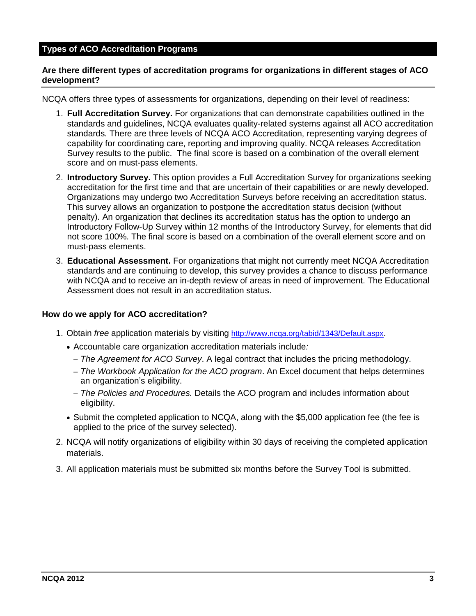### **Types of ACO Accreditation Programs**

### **Are there different types of accreditation programs for organizations in different stages of ACO development?**

NCQA offers three types of assessments for organizations, depending on their level of readiness:

- 1. **Full Accreditation Survey.** For organizations that can demonstrate capabilities outlined in the standards and guidelines, NCQA evaluates quality-related systems against all ACO accreditation standards*.* There are three levels of NCQA ACO Accreditation, representing varying degrees of capability for coordinating care, reporting and improving quality. NCQA releases Accreditation Survey results to the public. The final score is based on a combination of the overall element score and on must-pass elements.
- 2. **Introductory Survey.** This option provides a Full Accreditation Survey for organizations seeking accreditation for the first time and that are uncertain of their capabilities or are newly developed. Organizations may undergo two Accreditation Surveys before receiving an accreditation status. This survey allows an organization to postpone the accreditation status decision (without penalty). An organization that declines its accreditation status has the option to undergo an Introductory Follow-Up Survey within 12 months of the Introductory Survey, for elements that did not score 100%. The final score is based on a combination of the overall element score and on must-pass elements.
- 3. **Educational Assessment.** For organizations that might not currently meet NCQA Accreditation standards and are continuing to develop, this survey provides a chance to discuss performance with NCQA and to receive an in-depth review of areas in need of improvement. The Educational Assessment does not result in an accreditation status.

#### **How do we apply for ACO accreditation?**

- 1. Obtain *free* application materials by visiting <http://www.ncqa.org/tabid/1343/Default.aspx>.
	- Accountable care organization accreditation materials include*:*
		- *The Agreement for ACO Survey*. A legal contract that includes the pricing methodology.
		- *The Workbook Application for the ACO program*. An Excel document that helps determines an organization's eligibility.
		- *The Policies and Procedures.* Details the ACO program and includes information about eligibility.
	- Submit the completed application to NCQA, along with the \$5,000 application fee (the fee is applied to the price of the survey selected).
- 2. NCQA will notify organizations of eligibility within 30 days of receiving the completed application materials.
- 3. All application materials must be submitted six months before the Survey Tool is submitted.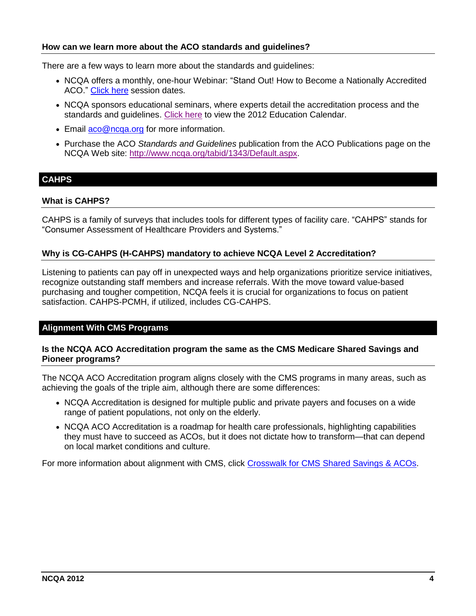### **How can we learn more about the ACO standards and guidelines?**

There are a few ways to learn more about the standards and guidelines:

- NCQA offers a monthly, one-hour Webinar: "Stand Out! How to Become a Nationally Accredited ACO." [Click](http://www.ncqa.org/LinkClick.aspx?fileticket=EyOE7tMauZc%3d&tabid=1799&mid=6454&forcedownload=true) here session dates.
- NCQA sponsors educational seminars, where experts detail the accreditation process and the standards and guidelines. [Click](http://www.ncqa.org/LinkClick.aspx?link=1439&tabid=63) here to view the 2012 Education Calendar.
- **Email [aco@ncqa.org](mailto:aco@ncqa.org) for more information.**
- Purchase the ACO *Standards and Guidelines* publication from the ACO Publications page on the NCQA Web site: [http://www.ncqa.org/tabid/1343/Default.aspx.](http://www.ncqa.org/tabid/1343/Default.aspx)

# **CAHPS**

### **What is CAHPS?**

CAHPS is a family of surveys that includes tools for different types of facility care. "CAHPS" stands for "Consumer Assessment of Healthcare Providers and Systems."

### **Why is CG-CAHPS (H-CAHPS) mandatory to achieve NCQA Level 2 Accreditation?**

Listening to patients can pay off in unexpected ways and help organizations prioritize service initiatives, recognize outstanding staff members and increase referrals. With the move toward value-based purchasing and tougher competition, NCQA feels it is crucial for organizations to focus on patient satisfaction. CAHPS-PCMH, if utilized, includes CG-CAHPS.

### **Alignment With CMS Programs**

### **Is the NCQA ACO Accreditation program the same as the CMS Medicare Shared Savings and Pioneer programs?**

The NCQA ACO Accreditation program aligns closely with the CMS programs in many areas, such as achieving the goals of the triple aim, although there are some differences:

- NCQA Accreditation is designed for multiple public and private payers and focuses on a wide range of patient populations, not only on the elderly.
- NCQA ACO Accreditation is a roadmap for health care professionals, highlighting capabilities they must have to succeed as ACOs, but it does not dictate how to transform—that can depend on local market conditions and culture.

For more information about alignment with CMS, click [Crosswalk for CMS Shared Savings & ACOs.](http://www.ncqa.org/Portals/0/ACO%20Crosswalk%20-%20CMS%20%20NCQA%20programs_5.30.12.pdf)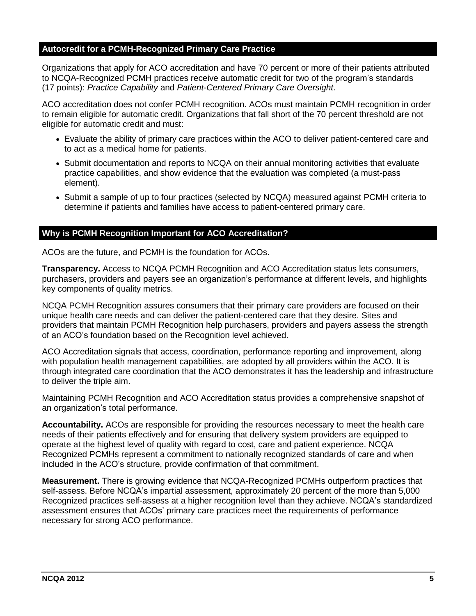# **Autocredit for a PCMH-Recognized Primary Care Practice**

Organizations that apply for ACO accreditation and have 70 percent or more of their patients attributed to NCQA-Recognized PCMH practices receive automatic credit for two of the program's standards (17 points): *Practice Capability* and *Patient-Centered Primary Care Oversight*.

ACO accreditation does not confer PCMH recognition. ACOs must maintain PCMH recognition in order to remain eligible for automatic credit. Organizations that fall short of the 70 percent threshold are not eligible for automatic credit and must:

- Evaluate the ability of primary care practices within the ACO to deliver patient-centered care and to act as a medical home for patients.
- Submit documentation and reports to NCQA on their annual monitoring activities that evaluate practice capabilities, and show evidence that the evaluation was completed (a must-pass element).
- Submit a sample of up to four practices (selected by NCQA) measured against PCMH criteria to determine if patients and families have access to patient-centered primary care.

### **Why is PCMH Recognition Important for ACO Accreditation?**

ACOs are the future, and PCMH is the foundation for ACOs.

**Transparency.** Access to NCQA PCMH Recognition and ACO Accreditation status lets consumers, purchasers, providers and payers see an organization's performance at different levels, and highlights key components of quality metrics.

NCQA PCMH Recognition assures consumers that their primary care providers are focused on their unique health care needs and can deliver the patient-centered care that they desire. Sites and providers that maintain PCMH Recognition help purchasers, providers and payers assess the strength of an ACO's foundation based on the Recognition level achieved.

ACO Accreditation signals that access, coordination, performance reporting and improvement, along with population health management capabilities, are adopted by all providers within the ACO. It is through integrated care coordination that the ACO demonstrates it has the leadership and infrastructure to deliver the triple aim.

Maintaining PCMH Recognition and ACO Accreditation status provides a comprehensive snapshot of an organization's total performance.

**Accountability.** ACOs are responsible for providing the resources necessary to meet the health care needs of their patients effectively and for ensuring that delivery system providers are equipped to operate at the highest level of quality with regard to cost, care and patient experience. NCQA Recognized PCMHs represent a commitment to nationally recognized standards of care and when included in the ACO's structure, provide confirmation of that commitment.

**Measurement.** There is growing evidence that NCQA-Recognized PCMHs outperform practices that self-assess. Before NCQA's impartial assessment, approximately 20 percent of the more than 5,000 Recognized practices self-assess at a higher recognition level than they achieve. NCQA's standardized assessment ensures that ACOs' primary care practices meet the requirements of performance necessary for strong ACO performance.